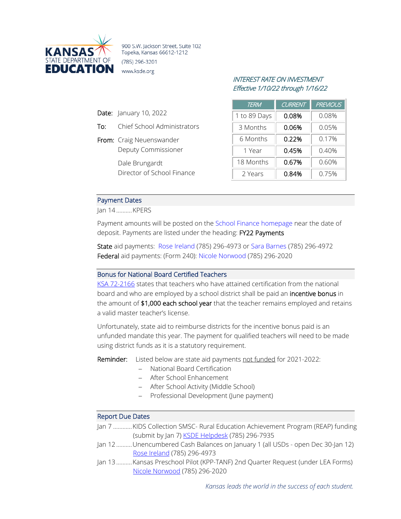

900 S.W. Jackson Street, Suite 102 Topeka, Kansas 66612-1212 (785) 296-3201 www.ksde.org

# INTEREST RATE ON INVESTMENT Effective 1/10/22 through 1/16/22

| <b>TERM</b>  | <b>CURRENT</b> | <b>PREVIOUS</b> |
|--------------|----------------|-----------------|
| 1 to 89 Days | 0.08%          | 0.08%           |
| 3 Months     | 0.06%          | 0.05%           |
| 6 Months     | 0.22%          | 0.17%           |
| 1 Year       | 0.45%          | 0.40%           |
| 18 Months    | 0.67%          | 0.60%           |
| 2 Years      | 0.84%          | 0.75%           |

## Payment Dates

Jan 14..........KPERS

Date: January 10, 2022

From: Craig Neuenswander

Dale Brungardt

To: Chief School Administrators

Deputy Commissioner

Director of School Finance

Payment amounts will be posted on the [School Finance homepage](http://www.ksde.org/Agency/Fiscal-and-Administrative-Services/School-Finance/Payment-Information) near the date of deposit. Payments are listed under the heading: FY22 Payments

State aid payments: [Rose Ireland](mailto:rireland@ksde.org) (785) 296-4973 or [Sara Barnes](mailto:sbarnes@ksde.org) (785) 296-4972 Federal aid payments: (Form 240): [Nicole Norwood](mailto:nnorwood@ksde.org) (785) 296-2020

### Bonus for National Board Certified Teachers

[KSA 72-2166](http://ksrevisor.org/statutes/chapters/ch72/072_021_0066.html) states that teachers who have attained certification from the national board and who are employed by a school district shall be paid an incentive bonus in the amount of \$1,000 each school year that the teacher remains employed and retains a valid master teacher's license.

Unfortunately, state aid to reimburse districts for the incentive bonus paid is an unfunded mandate this year. The payment for qualified teachers will need to be made using district funds as it is a statutory requirement.

Reminder: Listed below are state aid payments not funded for 2021-2022:

- − National Board Certification
- − After School Enhancement
- − After School Activity (Middle School)
- − Professional Development (June payment)

#### Report Due Dates

- Jan 7 ............KIDS Collection SMSC- Rural Education Achievement Program (REAP) funding (submit by Jan 7[\) KSDE Helpdesk](mailto:HelpDesk@ksde.org) (785) 296-7935
- Jan 12..........Unencumbered Cash Balances on January 1 (all USDs open Dec 30-Jan 12) [Rose Ireland](mailto:rireland@ksde.org) (785) 296-4973
- Jan 13..........Kansas Preschool Pilot (KPP-TANF) 2nd Quarter Request (under LEA Forms) [Nicole Norwood](mailto:nnorwood@ksde.org) (785) 296-2020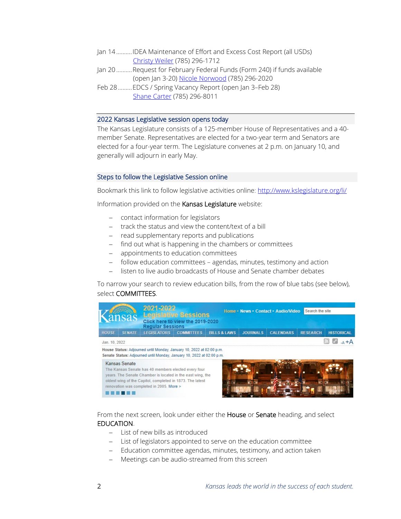- Jan 14..........IDEA Maintenance of Effort and Excess Cost Report (all USDs) [Christy Weiler](mailto:CWeiler@ksde.org) (785) 296-1712
- Jan 20..........Request for February Federal Funds (Form 240) if funds available (open Jan 3-20) [Nicole Norwood](mailto:nnorwood@ksde.org) (785) 296-2020
- Feb 28.........EDCS / Spring Vacancy Report (open Jan 3–Feb 28) [Shane Carter](mailto:scarter@ksde.org) (785) 296-8011

#### 2022 Kansas Legislative session opens today

The Kansas Legislature consists of a 125-member House of Representatives and a 40 member Senate. Representatives are elected for a two-year term and Senators are elected for a four-year term. The Legislature convenes at 2 p.m. on January 10, and generally will adjourn in early May.

#### Steps to follow the Legislative Session online

Bookmark this link to follow legislative activities online: <http://www.kslegislature.org/li/>

Information provided on the Kansas Legislature website:

- − contact information for legislators
- − track the status and view the content/text of a bill
- − read supplementary reports and publications
- − find out what is happening in the chambers or committees
- − appointments to education committees
- − follow education committees agendas, minutes, testimony and action
- − listen to live audio broadcasts of House and Senate chamber debates

To narrow your search to review education bills, from the row of blue tabs (see below), select COMMITTEES.

|                                                                                                                                               | nsas          | <b>Regular Sessions</b>                                                                                                                                                                                                    | <b>Legislative Sessions</b><br>Click here to view the 2019-2020 |                         |                 | Home · News · Contact · Audio/Video | Search the site |                   |  |  |
|-----------------------------------------------------------------------------------------------------------------------------------------------|---------------|----------------------------------------------------------------------------------------------------------------------------------------------------------------------------------------------------------------------------|-----------------------------------------------------------------|-------------------------|-----------------|-------------------------------------|-----------------|-------------------|--|--|
| <b>HOUSE</b>                                                                                                                                  | <b>SENATE</b> | <b>LEGISLATORS</b>                                                                                                                                                                                                         | <b>COMMITTEES</b>                                               | <b>BILLS &amp; LAWS</b> | <b>JOURNALS</b> | <b>CALENDARS</b>                    | <b>RESEARCH</b> | <b>HISTORICAL</b> |  |  |
|                                                                                                                                               | Jan. 10, 2022 |                                                                                                                                                                                                                            |                                                                 |                         |                 |                                     |                 |                   |  |  |
| House Status: Adjourned until Monday, January 10, 2022 at 02:00 p.m.<br>Senate Status: Adjourned until Monday, January 10, 2022 at 02:00 p.m. |               |                                                                                                                                                                                                                            |                                                                 |                         |                 |                                     |                 |                   |  |  |
|                                                                                                                                               | Kansas Senate | The Kansas Senate has 40 members elected every four<br>years. The Senate Chamber is located in the east wing, the<br>oldest wing of the Capitol, completed in 1873. The latest<br>renovation was completed in 2005. More > |                                                                 |                         |                 |                                     |                 |                   |  |  |

From the next screen, look under either the House or Senate heading, and select EDUCATION.

- − List of new bills as introduced
- − List of legislators appointed to serve on the education committee
- − Education committee agendas, minutes, testimony, and action taken
- − Meetings can be audio-streamed from this screen